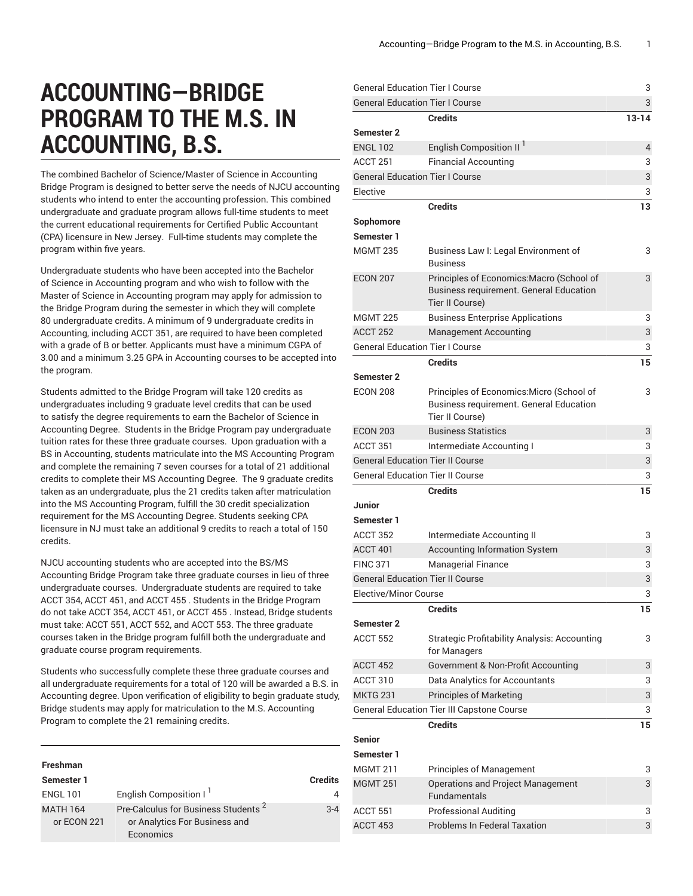## **ACCOUNTING—BRIDGE PROGRAM TO THE M.S. IN ACCOUNTING, B.S.**

The combined Bachelor of Science/Master of Science in Accounting Bridge Program is designed to better serve the needs of NJCU accounting students who intend to enter the accounting profession. This combined undergraduate and graduate program allows full-time students to meet the current educational requirements for Certified Public Accountant (CPA) licensure in New Jersey. Full-time students may complete the program within five years.

Undergraduate students who have been accepted into the Bachelor of Science in Accounting program and who wish to follow with the Master of Science in Accounting program may apply for admission to the Bridge Program during the semester in which they will complete 80 undergraduate credits. A minimum of 9 undergraduate credits in Accounting, including [ACCT](/search/?P=ACCT%20351) 351, are required to have been completed with a grade of B or better. Applicants must have a minimum CGPA of 3.00 and a minimum 3.25 GPA in Accounting courses to be accepted into the program.

Students admitted to the Bridge Program will take 120 credits as undergraduates including 9 graduate level credits that can be used to satisfy the degree requirements to earn the Bachelor of Science in Accounting Degree. Students in the Bridge Program pay undergraduate tuition rates for these three graduate courses. Upon graduation with a BS in Accounting, students matriculate into the MS Accounting Program and complete the remaining 7 seven courses for a total of 21 additional credits to complete their MS Accounting Degree. The 9 graduate credits taken as an undergraduate, plus the 21 credits taken after matriculation into the MS Accounting Program, fulfill the 30 credit specialization requirement for the MS Accounting Degree. Students seeking CPA licensure in NJ must take an additional 9 credits to reach a total of 150 credits.

NJCU accounting students who are accepted into the BS/MS Accounting Bridge Program take three graduate courses in lieu of three undergraduate courses. Undergraduate students are required to take [ACCT](/search/?P=ACCT%20354) 354, [ACCT](/search/?P=ACCT%20451) 451, and ACCT 455 . Students in the Bridge Program do not take [ACCT](/search/?P=ACCT%20354) 354, [ACCT](/search/?P=ACCT%20451) 451, or ACCT 455 . Instead, Bridge students must take: ACCT 551, ACCT 552, and ACCT 553. The three graduate courses taken in the Bridge program fulfill both the undergraduate and graduate course program requirements.

Students who successfully complete these three graduate courses and all undergraduate requirements for a total of 120 will be awarded a B.S. in Accounting degree. Upon verification of eligibility to begin graduate study, Bridge students may apply for matriculation to the M.S. Accounting Program to complete the 21 remaining credits.

| <b>Freshman</b>                |                                                                                               |         |
|--------------------------------|-----------------------------------------------------------------------------------------------|---------|
| Semester 1                     |                                                                                               | Credits |
| <b>ENGL 101</b>                | English Composition I <sup>1</sup>                                                            | 4       |
| <b>MATH 164</b><br>or ECON 221 | Pre-Calculus for Business Students <sup>2</sup><br>or Analytics For Business and<br>Economics | $3-4$   |

| <b>General Education Tier I Course</b>  |                                                                                                                | 3         |
|-----------------------------------------|----------------------------------------------------------------------------------------------------------------|-----------|
| <b>General Education Tier I Course</b>  |                                                                                                                | 3         |
|                                         | <b>Credits</b>                                                                                                 | $13 - 14$ |
| Semester 2                              |                                                                                                                |           |
| <b>ENGL 102</b>                         | English Composition II <sup>1</sup>                                                                            | 4         |
| ACCT <sub>251</sub>                     | <b>Financial Accounting</b>                                                                                    | 3         |
| <b>General Education Tier I Course</b>  |                                                                                                                | 3         |
| Elective                                |                                                                                                                | 3         |
|                                         | <b>Credits</b>                                                                                                 | 13        |
| Sophomore                               |                                                                                                                |           |
| Semester 1                              |                                                                                                                |           |
| <b>MGMT 235</b>                         | Business Law I: Legal Environment of<br><b>Business</b>                                                        | 3         |
| <b>ECON 207</b>                         | Principles of Economics: Macro (School of<br><b>Business requirement. General Education</b><br>Tier II Course) | 3         |
| <b>MGMT 225</b>                         | <b>Business Enterprise Applications</b>                                                                        | 3         |
| <b>ACCT 252</b>                         | <b>Management Accounting</b>                                                                                   | 3         |
| <b>General Education Tier I Course</b>  |                                                                                                                | 3         |
|                                         | <b>Credits</b>                                                                                                 | 15        |
| <b>Semester 2</b>                       |                                                                                                                |           |
| <b>ECON 208</b>                         | Principles of Economics: Micro (School of<br><b>Business requirement. General Education</b><br>Tier II Course) | 3         |
| <b>ECON 203</b>                         | <b>Business Statistics</b>                                                                                     | 3         |
| ACCT 351                                | Intermediate Accounting I                                                                                      | 3         |
| <b>General Education Tier II Course</b> |                                                                                                                | 3         |
| <b>General Education Tier II Course</b> |                                                                                                                | 3         |
|                                         | <b>Credits</b>                                                                                                 | 15        |
| Junior                                  |                                                                                                                |           |
| Semester 1                              |                                                                                                                |           |
| ACCT 352                                | Intermediate Accounting II                                                                                     | 3         |
| ACCT 401                                | <b>Accounting Information System</b>                                                                           | 3         |
| <b>FINC 371</b>                         | <b>Managerial Finance</b>                                                                                      | 3         |
| <b>General Education Tier II Course</b> |                                                                                                                | 3         |
| Elective/Minor Course                   |                                                                                                                | 3         |
|                                         | <b>Credits</b>                                                                                                 | 15        |
| <b>Semester 2</b>                       |                                                                                                                |           |
| <b>ACCT 552</b>                         | <b>Strategic Profitability Analysis: Accounting</b><br>for Managers                                            | 3         |
| ACCT 452                                | Government & Non-Profit Accounting                                                                             | 3         |
| ACCT 310                                | Data Analytics for Accountants                                                                                 | 3         |
| <b>MKTG 231</b>                         | <b>Principles of Marketing</b>                                                                                 | 3         |
|                                         | General Education Tier III Capstone Course                                                                     | 3         |
|                                         | <b>Credits</b>                                                                                                 | 15        |
| <b>Senior</b>                           |                                                                                                                |           |
| Semester 1                              |                                                                                                                |           |
| <b>MGMT 211</b>                         | Principles of Management                                                                                       | 3         |
| <b>MGMT 251</b>                         | Operations and Project Management<br><b>Fundamentals</b>                                                       | 3         |
| <b>ACCT 551</b>                         | <b>Professional Auditing</b>                                                                                   | 3         |
| ACCT 453                                | <b>Problems In Federal Taxation</b>                                                                            | 3         |
|                                         |                                                                                                                |           |